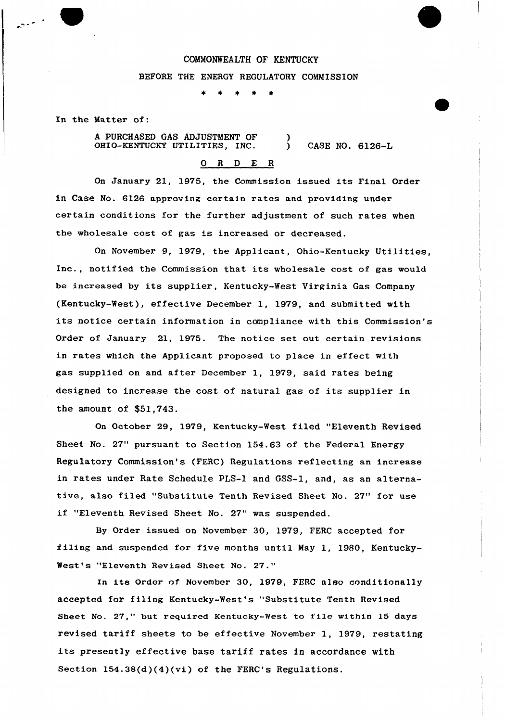## COMMONWEALTH OF KENTUCKY

### BEFORE THE ENERGY REGULATORY COMMISSION

 $\star$  $\star$  $\star$ 

In the Matter of:

A PURCHASED GAS ADJUSTMENT OF OHIO-KENTUCKY UTILITIES, INC.  $\left\{ \right\}$ CASE NO. 6126-L

# $O$  R  $D$  E R

On January 21, 1975, the Commission issued its Final Order in Case No. 6126 approving certain rates and providing under certain conditions for the further adjustment of such rates when the wholesale cost of gas is increased or decreased.

On November 9, 1979, the Applicant, Ohio-Kentucky Utilities, Inc., notified the Commission that its wholesale cost of gas would be increased by its supplier, Kentucky-West Virginia Gas Company (Kentucky-West), effective December 1, 1979, and submitted with its notice certain information in compliance with this Commission's Order of January 21, 1975. The notice set out certain revisions in rates which the Applicant proposed to place in effect with gas supplied on and after December 1, 1979, said rates being designed to increase the cost of natural gas of its supplier in the amount of \$51,743.

On October 29, 1979, Kentucky-West filed "Eleventh Revised Sheet No. 27" pursuant to Section 154.63 of the Federal Energy Regulatory Commission's (FERC} Regulations reflecting an increase in rates under Rate Schedule PLS-1 and GSS-1, and, as an alternative, also filed "Substitute Tenth Revised Sheet No. 27" for use if "Eleventh Revised Sheet No. 27" was suspended.

By Order issued on November 30, 1979, FERC accepted for filing and suspended for five months until May 1, 1980, Kentucky-West's "Eleventh Revised Sheet No. 27."

In its Order of November 30, 1979, FERC also conditionally accepted for filing Kentucky-West's "Substitute Tenth Revised Sheet No. 27," but required Kentucky-West to file within 15 days revised tariff sheets to be effective November 1, 1979, restating its presently effective base tariff rates in accordance with Section 154.38(d)(4)(vi) of the FERC's Regulations.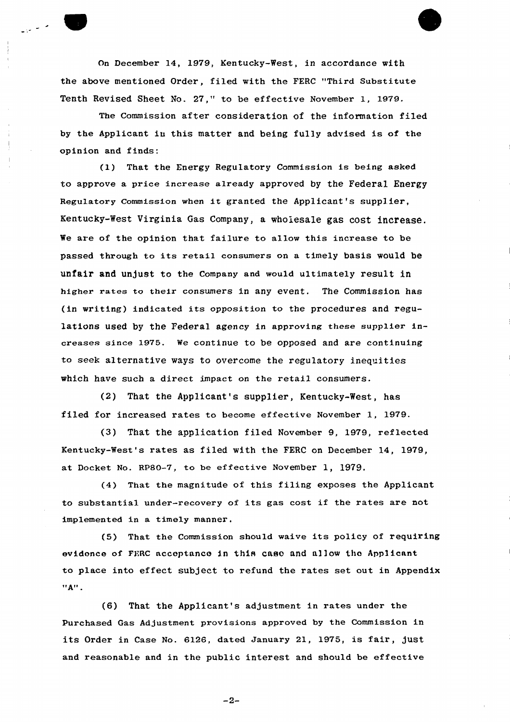On December 14, 1979, Kentucky-West, in accordance with the above mentioned Order, filed with the FERC "Third Substitute Tenth Revised Sheet No. 27," to be effective November 1, 1979.

The Commission after consideration of the information filed by the Applicant in this matter and being fully advised is of the opinion and finds:

(1) That the Energy Regulatory Commission is being asked to approve a price increase already approved by the Federal Energy Regulatory Commission when it granted the Applicant's supplier, Kentucky-West Virginia Gas Company, a wholesale gas cost increase. We are of the opinion that failure to allow this increase to be passed through to its retail consumers on <sup>a</sup> timely basis would be unfair and unjust to the Company and would ultimately result in higher rates to their consumers in any event. The Commission has (in writing) indicated its opposition to the procedures and regulations used by the Federal agency in approving these supplier increases since 1975. We continue to be opposed and are continuing to seek alternative ways to overcome the regulatory inequities which have such a direct impact on the retail consumers.

(2) That the Applicant's supplier, Kentucky-West, has filed for increased rates to become effective November 1, 1979.

(3) That the application filed November 9, 1979, reflected Kentucky-West's rates as filed with the FERC on Decembex 14, 1979, at Docket No. RP80-7, to be effective November 1, 1979.

(4) That the magnitude of this filing exposes the Applicant to substantial under-recovery of its gas cost if the rates are not implemented in a timely manner.

(5) That the Commission should waive its policy of requiring evidence of FKRC acceptance in this caso and allow the Applicant to place into effect subject to refund the rates set out in Appendix  $"A"$ .

(6) That the Applicant's adjustment in rates under the Purchased Gas Adjustment provisions approved by the Commission in its Order in Case No. 6126, dated January 21, 1975, is fair, just and reasonable and in the public interest and should be effective

 $-2-$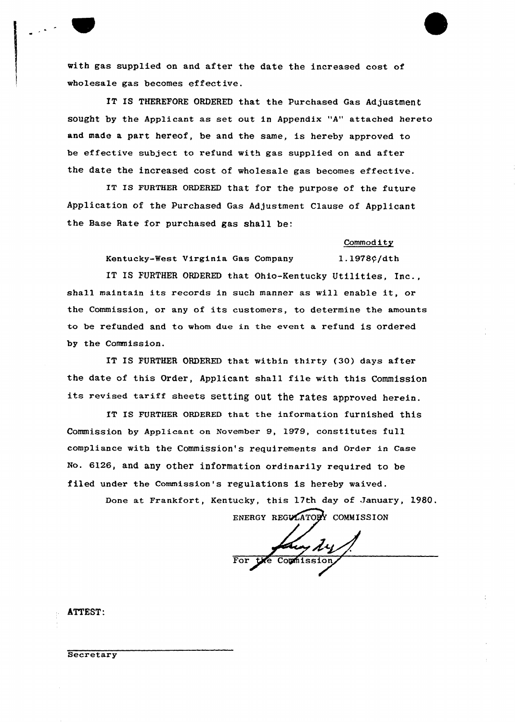with gas supplied on and after the date the increased cost of wholesale gas becomes effective.

IT IS THEREFORE ORDERED that the Purchased Gas Adjustment sought by the Applicant as set out in Appendix "A" attached hereto and made a part hereof, be and the same, is hereby approved to be effective subject to refund with gas supplied on and after the date the increased cost of wholesale gas becomes effective.

IT Is FURTHER oRDERED that for the purpose of the future Application of the Purchased Gas Adjustment Clause of Applicant the Base Rate for purchased gas shall be:

#### Commod ity

Kentucky-West Virginia Gas Company 1.1978 $\frac{\rho}{dt}$ h

IT IS FURTHER ORDERED that Ohio-Kentucky Utilities, Inc., shall maintain its records in such manner as will enable it, or the Commission, or any of its customers, to determine the amounts to be refunded and to whom due in the event a refund is ordered by the Commission.

IT IS FURTHER ORDERED that within thirty (30) days after the date of this Order, Applicant shall file with this Commission its revised tariff sheets setting Out the rates approved herein.

IT IS FURTHER ORDERED that the information furnished this Commission by Applicant on November 9, 1979, constitutes full compliance with the Commission's requirements and Order in Case No. 6126, and any other information ordinarily required to be filed under the Commission's regulations is hereby waived.

> Done at Frankfort, Kentucky, this 17th day of January, 1980. ENERGY REGULATORY COMMISSION

Coumission

ATTEST:

Secretary